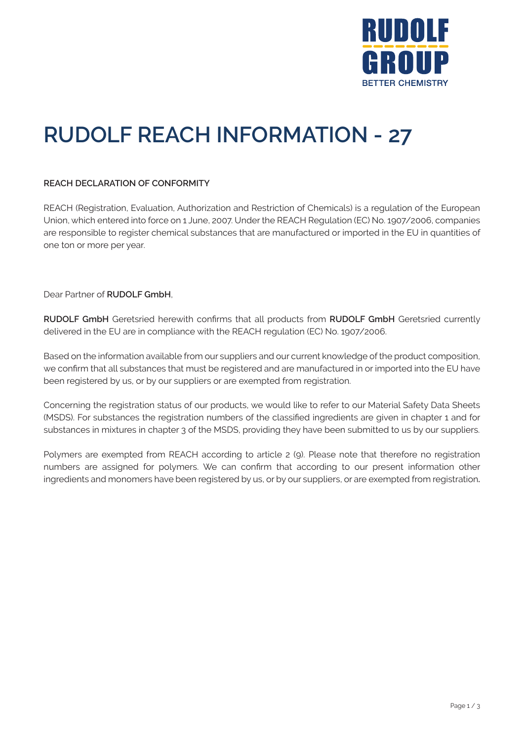

# **RUDOLF REACH INFORMATION - 27**

### **REACH DECLARATION OF CONFORMITY**

REACH (Registration, Evaluation, Authorization and Restriction of Chemicals) is a regulation of the European Union, which entered into force on 1 June, 2007. Under the REACH Regulation (EC) No. 1907/2006, companies are responsible to register chemical substances that are manufactured or imported in the EU in quantities of one ton or more per year.

Dear Partner of **RUDOLF GmbH**,

**RUDOLF GmbH** Geretsried herewith confirms that all products from **RUDOLF GmbH** Geretsried currently delivered in the EU are in compliance with the REACH regulation (EC) No. 1907/2006.

Based on the information available from our suppliers and our current knowledge of the product composition, we confirm that all substances that must be registered and are manufactured in or imported into the EU have been registered by us, or by our suppliers or are exempted from registration.

Concerning the registration status of our products, we would like to refer to our Material Safety Data Sheets (MSDS). For substances the registration numbers of the classified ingredients are given in chapter 1 and for substances in mixtures in chapter 3 of the MSDS, providing they have been submitted to us by our suppliers.

Polymers are exempted from REACH according to article 2 (9). Please note that therefore no registration numbers are assigned for polymers. We can confirm that according to our present information other ingredients and monomers have been registered by us, or by our suppliers, or are exempted from registration**.**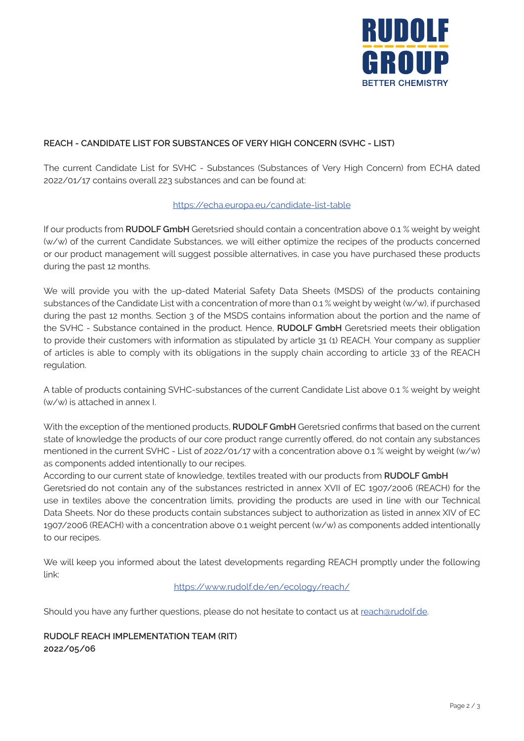

## **REACH - CANDIDATE LIST FOR SUBSTANCES OF VERY HIGH CONCERN (SVHC - LIST)**

The current Candidate List for SVHC - Substances (Substances of Very High Concern) from ECHA dated 2022/01/17 contains overall 223 substances and can be found at:

### https://echa.europa.eu/candidate-list-table

If our products from **RUDOLF GmbH** Geretsried should contain a concentration above 0.1 % weight by weight (w/w) of the current Candidate Substances, we will either optimize the recipes of the products concerned or our product management will suggest possible alternatives, in case you have purchased these products during the past 12 months.

We will provide you with the up-dated Material Safety Data Sheets (MSDS) of the products containing substances of the Candidate List with a concentration of more than 0.1 % weight by weight (w/w), if purchased during the past 12 months. Section 3 of the MSDS contains information about the portion and the name of the SVHC - Substance contained in the product. Hence, **RUDOLF GmbH** Geretsried meets their obligation to provide their customers with information as stipulated by article 31 (1) REACH. Your company as supplier of articles is able to comply with its obligations in the supply chain according to article 33 of the REACH regulation.

A table of products containing SVHC-substances of the current Candidate List above 0.1 % weight by weight (w/w) is attached in annex I.

With the exception of the mentioned products, **RUDOLF GmbH** Geretsried confirms that based on the current state of knowledge the products of our core product range currently offered, do not contain any substances mentioned in the current SVHC - List of 2022/01/17 with a concentration above 0.1 % weight by weight (w/w) as components added intentionally to our recipes.

According to our current state of knowledge, textiles treated with our products from **RUDOLF GmbH** Geretsried do not contain any of the substances restricted in annex XVII of EC 1907/2006 (REACH) for the use in textiles above the concentration limits, providing the products are used in line with our Technical Data Sheets. Nor do these products contain substances subject to authorization as listed in annex XIV of EC 1907/2006 (REACH) with a concentration above 0.1 weight percent (w/w) as components added intentionally to our recipes.

We will keep you informed about the latest developments regarding REACH promptly under the following link:

#### https://www.rudolf.de/en/ecology/reach/

Should you have any further questions, please do not hesitate to contact us at reach@rudolf.de.

## **RUDOLF REACH IMPLEMENTATION TEAM (RIT) 2022/05/06**